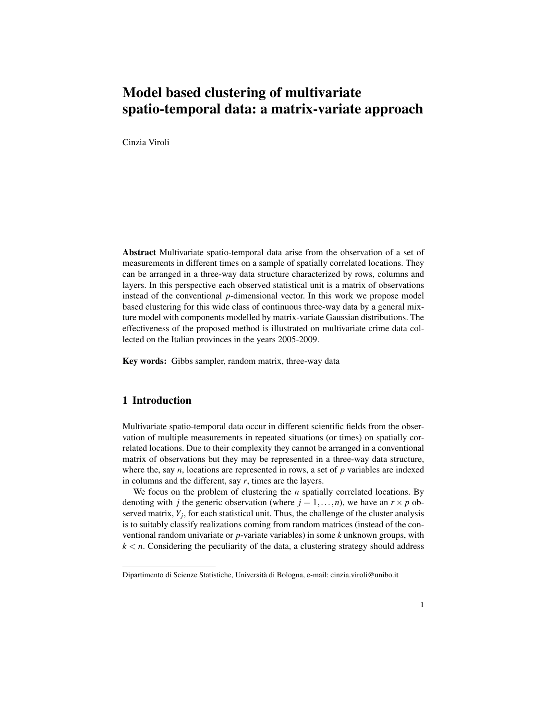# Model based clustering of multivariate spatio-temporal data: a matrix-variate approach

Cinzia Viroli

Abstract Multivariate spatio-temporal data arise from the observation of a set of measurements in different times on a sample of spatially correlated locations. They can be arranged in a three-way data structure characterized by rows, columns and layers. In this perspective each observed statistical unit is a matrix of observations instead of the conventional *p*-dimensional vector. In this work we propose model based clustering for this wide class of continuous three-way data by a general mixture model with components modelled by matrix-variate Gaussian distributions. The effectiveness of the proposed method is illustrated on multivariate crime data collected on the Italian provinces in the years 2005-2009.

Key words: Gibbs sampler, random matrix, three-way data

## 1 Introduction

Multivariate spatio-temporal data occur in different scientific fields from the observation of multiple measurements in repeated situations (or times) on spatially correlated locations. Due to their complexity they cannot be arranged in a conventional matrix of observations but they may be represented in a three-way data structure, where the, say *n*, locations are represented in rows, a set of *p* variables are indexed in columns and the different, say *r*, times are the layers.

We focus on the problem of clustering the *n* spatially correlated locations. By denoting with *j* the generic observation (where  $j = 1, \ldots, n$ ), we have an  $r \times p$  observed matrix,  $Y_j$ , for each statistical unit. Thus, the challenge of the cluster analysis is to suitably classify realizations coming from random matrices (instead of the conventional random univariate or *p*-variate variables) in some *k* unknown groups, with  $k < n$ . Considering the peculiarity of the data, a clustering strategy should address

Dipartimento di Scienze Statistiche, Universita di Bologna, e-mail: cinzia.viroli@unibo.it `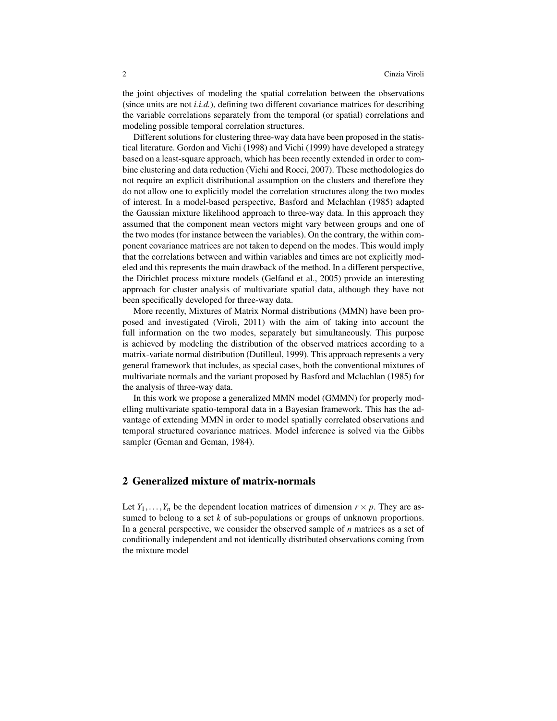the joint objectives of modeling the spatial correlation between the observations (since units are not *i.i.d.*), defining two different covariance matrices for describing the variable correlations separately from the temporal (or spatial) correlations and modeling possible temporal correlation structures.

Different solutions for clustering three-way data have been proposed in the statistical literature. Gordon and Vichi (1998) and Vichi (1999) have developed a strategy based on a least-square approach, which has been recently extended in order to combine clustering and data reduction (Vichi and Rocci, 2007). These methodologies do not require an explicit distributional assumption on the clusters and therefore they do not allow one to explicitly model the correlation structures along the two modes of interest. In a model-based perspective, Basford and Mclachlan (1985) adapted the Gaussian mixture likelihood approach to three-way data. In this approach they assumed that the component mean vectors might vary between groups and one of the two modes (for instance between the variables). On the contrary, the within component covariance matrices are not taken to depend on the modes. This would imply that the correlations between and within variables and times are not explicitly modeled and this represents the main drawback of the method. In a different perspective, the Dirichlet process mixture models (Gelfand et al., 2005) provide an interesting approach for cluster analysis of multivariate spatial data, although they have not been specifically developed for three-way data.

More recently, Mixtures of Matrix Normal distributions (MMN) have been proposed and investigated (Viroli, 2011) with the aim of taking into account the full information on the two modes, separately but simultaneously. This purpose is achieved by modeling the distribution of the observed matrices according to a matrix-variate normal distribution (Dutilleul, 1999). This approach represents a very general framework that includes, as special cases, both the conventional mixtures of multivariate normals and the variant proposed by Basford and Mclachlan (1985) for the analysis of three-way data.

In this work we propose a generalized MMN model (GMMN) for properly modelling multivariate spatio-temporal data in a Bayesian framework. This has the advantage of extending MMN in order to model spatially correlated observations and temporal structured covariance matrices. Model inference is solved via the Gibbs sampler (Geman and Geman, 1984).

## 2 Generalized mixture of matrix-normals

Let  $Y_1, \ldots, Y_n$  be the dependent location matrices of dimension  $r \times p$ . They are assumed to belong to a set *k* of sub-populations or groups of unknown proportions. In a general perspective, we consider the observed sample of *n* matrices as a set of conditionally independent and not identically distributed observations coming from the mixture model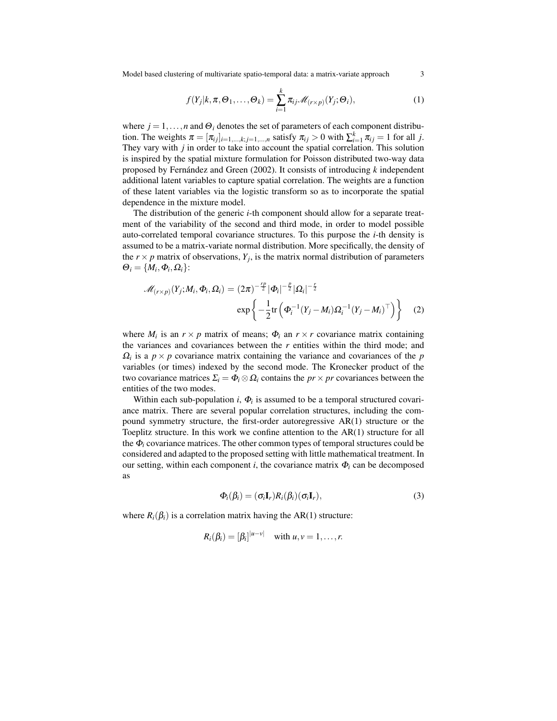Model based clustering of multivariate spatio-temporal data: a matrix-variate approach 3

$$
f(Y_j|k,\pi,\Theta_1,\ldots,\Theta_k) = \sum_{i=1}^k \pi_{ij} \mathcal{M}_{(r \times p)}(Y_j;\Theta_i),
$$
 (1)

where  $j = 1, \ldots, n$  and  $\Theta_i$  denotes the set of parameters of each component distribution. The weights  $\pi = [\pi_{ij}]_{i=1,\dots,k; j=1,\dots,n}$  satisfy  $\pi_{ij} > 0$  with  $\sum_{i=1}^{k} \pi_{ij} = 1$  for all *j*. They vary with *j* in order to take into account the spatial correlation. This solution is inspired by the spatial mixture formulation for Poisson distributed two-way data proposed by Fernández and Green  $(2002)$ . It consists of introducing  $k$  independent additional latent variables to capture spatial correlation. The weights are a function of these latent variables via the logistic transform so as to incorporate the spatial dependence in the mixture model.

The distribution of the generic *i*-th component should allow for a separate treatment of the variability of the second and third mode, in order to model possible auto-correlated temporal covariance structures. To this purpose the *i*-th density is assumed to be a matrix-variate normal distribution. More specifically, the density of the  $r \times p$  matrix of observations,  $Y_j$ , is the matrix normal distribution of parameters  $\Theta_i = \{M_i, \Phi_i, \Omega_i\}$ :

$$
\mathcal{M}_{(r\times p)}(Y_j; M_i, \Phi_i, \Omega_i) = (2\pi)^{-\frac{rp}{2}} |\Phi_i|^{-\frac{p}{2}} |\Omega_i|^{-\frac{r}{2}} \exp \left\{-\frac{1}{2} \text{tr} \left(\Phi_i^{-1} (Y_j - M_i) \Omega_i^{-1} (Y_j - M_i)^{\top}\right)\right\}
$$
(2)

where  $M_i$  is an  $r \times p$  matrix of means;  $\Phi_i$  an  $r \times r$  covariance matrix containing the variances and covariances between the *r* entities within the third mode; and  $\Omega_i$  is a  $p \times p$  covariance matrix containing the variance and covariances of the *p* variables (or times) indexed by the second mode. The Kronecker product of the two covariance matrices  $\Sigma_i = \Phi_i \otimes \Omega_i$  contains the *pr* × *pr* covariances between the entities of the two modes.

Within each sub-population  $i$ ,  $\Phi_i$  is assumed to be a temporal structured covariance matrix. There are several popular correlation structures, including the compound symmetry structure, the first-order autoregressive AR(1) structure or the Toeplitz structure. In this work we confine attention to the AR(1) structure for all the  $\Phi_i$  covariance matrices. The other common types of temporal structures could be considered and adapted to the proposed setting with little mathematical treatment. In our setting, within each component *i*, the covariance matrix  $\Phi_i$  can be decomposed as

$$
\Phi_i(\beta_i) = (\sigma_i \mathbf{I}_r) R_i(\beta_i) (\sigma_i \mathbf{I}_r), \tag{3}
$$

where  $R_i(\beta_i)$  is a correlation matrix having the AR(1) structure:

$$
R_i(\beta_i) = [\beta_i]^{|u-v|} \quad \text{with } u, v = 1, \dots, r.
$$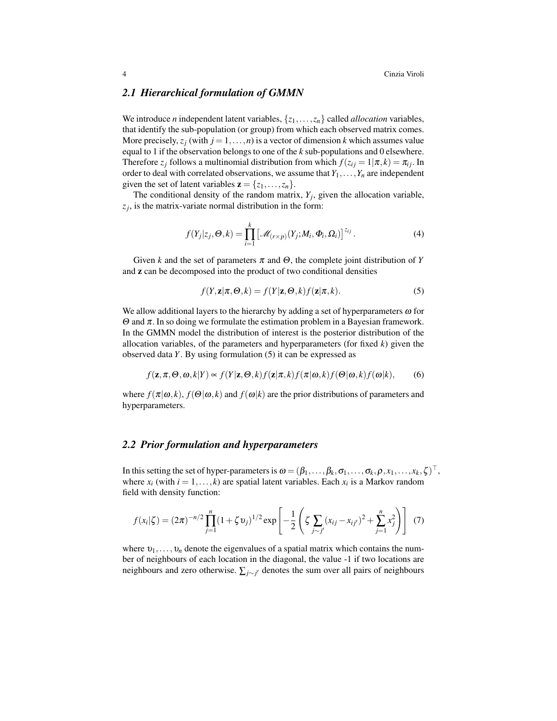### *2.1 Hierarchical formulation of GMMN*

We introduce *n* independent latent variables,  $\{z_1, \ldots, z_n\}$  called *allocation* variables, that identify the sub-population (or group) from which each observed matrix comes. More precisely,  $z_j$  (with  $j = 1, \ldots, n$ ) is a vector of dimension *k* which assumes value equal to 1 if the observation belongs to one of the *k* sub-populations and 0 elsewhere. Therefore  $z_j$  follows a multinomial distribution from which  $f(z_{ij} = 1 | \pi, k) = \pi_{ij}$ . In order to deal with correlated observations, we assume that  $Y_1, \ldots, Y_n$  are independent given the set of latent variables  $z = \{z_1, \ldots, z_n\}.$ 

The conditional density of the random matrix,  $Y_j$ , given the allocation variable,  $z_j$ , is the matrix-variate normal distribution in the form:

$$
f(Y_j|z_j,\boldsymbol{\Theta},k) = \prod_{i=1}^k \left[ \mathcal{M}_{(r \times p)}(Y_j;M_i,\boldsymbol{\Phi}_i,\Omega_i) \right]^{z_{ij}}.
$$
 (4)

Given *k* and the set of parameters  $\pi$  and  $\Theta$ , the complete joint distribution of *Y* and z can be decomposed into the product of two conditional densities

$$
f(Y, \mathbf{z} | \pi, \Theta, k) = f(Y | \mathbf{z}, \Theta, k) f(\mathbf{z} | \pi, k).
$$
 (5)

We allow additional layers to the hierarchy by adding a set of hyperparameters  $\omega$  for Θ and π. In so doing we formulate the estimation problem in a Bayesian framework. In the GMMN model the distribution of interest is the posterior distribution of the allocation variables, of the parameters and hyperparameters (for fixed *k*) given the observed data *Y*. By using formulation (5) it can be expressed as

$$
f(\mathbf{z}, \pi, \Theta, \omega, k|Y) \propto f(Y|\mathbf{z}, \Theta, k) f(\mathbf{z}|\pi, k) f(\pi|\omega, k) f(\Theta|\omega, k) f(\omega|k),
$$
 (6)

where  $f(\pi|\omega, k)$ ,  $f(\Theta|\omega, k)$  and  $f(\omega|k)$  are the prior distributions of parameters and hyperparameters.

## *2.2 Prior formulation and hyperparameters*

In this setting the set of hyper-parameters is  $\omega = (\beta_1, \ldots, \beta_k, \sigma_1, \ldots, \sigma_k, \rho, x_1, \ldots, x_k, \zeta)^\top$ , where  $x_i$  (with  $i = 1, ..., k$ ) are spatial latent variables. Each  $x_i$  is a Markov random field with density function:

$$
f(x_i|\zeta) = (2\pi)^{-n/2} \prod_{j=1}^n (1 + \zeta v_j)^{1/2} \exp\left[ -\frac{1}{2} \left( \zeta \sum_{j \sim j'} (x_{ij} - x_{ij'})^2 + \sum_{j=1}^n x_j^2 \right) \right] (7)
$$

where  $v_1, \ldots, v_n$  denote the eigenvalues of a spatial matrix which contains the number of neighbours of each location in the diagonal, the value -1 if two locations are neighbours and zero otherwise. ∑*j*∼*<sup>j</sup>* <sup>0</sup> denotes the sum over all pairs of neighbours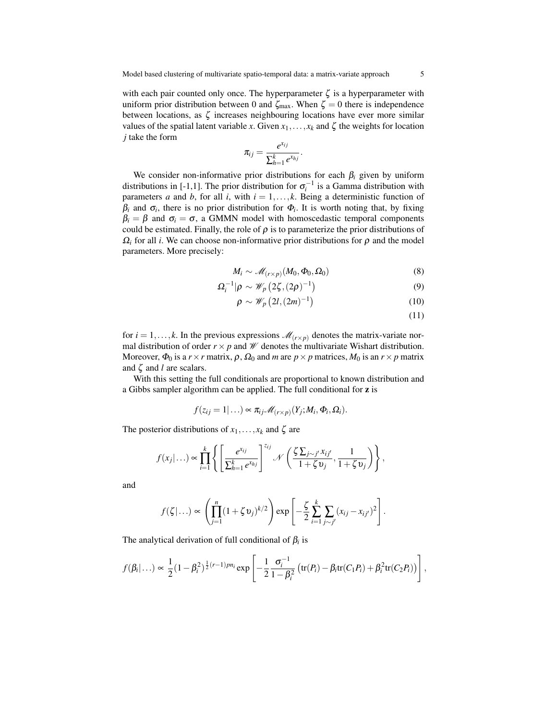with each pair counted only once. The hyperparameter  $\zeta$  is a hyperparameter with uniform prior distribution between 0 and  $\zeta_{\text{max}}$ . When  $\zeta = 0$  there is independence between locations, as  $\zeta$  increases neighbouring locations have ever more similar values of the spatial latent variable *x*. Given  $x_1, \ldots, x_k$  and  $\zeta$  the weights for location *j* take the form

$$
\pi_{ij}=\frac{e^{x_{ij}}}{\sum_{h=1}^k e^{x_{hj}}}.
$$

We consider non-informative prior distributions for each  $\beta_i$  given by uniform distributions in [-1,1]. The prior distribution for  $\sigma_i^{-1}$  is a Gamma distribution with parameters *a* and *b*, for all *i*, with  $i = 1, \ldots, k$ . Being a deterministic function of  $\beta_i$  and  $\sigma_i$ , there is no prior distribution for  $\Phi_i$ . It is worth noting that, by fixing  $\beta_i = \beta$  and  $\sigma_i = \sigma$ , a GMMN model with homoscedastic temporal components could be estimated. Finally, the role of  $\rho$  is to parameterize the prior distributions of  $\Omega_i$  for all *i*. We can choose non-informative prior distributions for  $\rho$  and the model parameters. More precisely:

$$
M_i \sim \mathcal{M}_{(r \times p)}(M_0, \Phi_0, \Omega_0) \tag{8}
$$

$$
\Omega_i^{-1}|\rho \sim \mathscr{W}_p\left(2\zeta, (2\rho)^{-1}\right) \tag{9}
$$

$$
\rho \sim \mathscr{W}_p\left(2l,(2m)^{-1}\right) \tag{10}
$$

(11)

for  $i = 1, \ldots, k$ . In the previous expressions  $\mathcal{M}_{(r \times p)}$  denotes the matrix-variate normal distribution of order  $r \times p$  and  $W$  denotes the multivariate Wishart distribution. Moreover,  $\Phi_0$  is a  $r \times r$  matrix,  $\rho$ ,  $\Omega_0$  and *m* are  $p \times p$  matrices,  $M_0$  is an  $r \times p$  matrix and  $\zeta$  and *l* are scalars.

With this setting the full conditionals are proportional to known distribution and a Gibbs sampler algorithm can be applied. The full conditional for z is

$$
f(z_{ij}=1|...)\propto \pi_{ij}\mathscr{M}_{(r\times p)}(Y_j;M_i,\Phi_i,\Omega_i).
$$

The posterior distributions of  $x_1, \ldots, x_k$  and  $\zeta$  are

$$
f(x_j|\ldots) \propto \prod_{i=1}^k \left\{ \left[ \frac{e^{x_{ij}}}{\sum_{h=1}^k e^{x_{hj}}} \right]^{z_{ij}} \mathcal{N}\left( \frac{\zeta \sum_{j\sim j'} x_{ij'}}{1+\zeta v_j}, \frac{1}{1+\zeta v_j} \right) \right\},\,
$$

and

$$
f(\zeta|\ldots) \propto \left(\prod_{j=1}^n (1+\zeta \nu_j)^{k/2}\right) \exp\left[-\frac{\zeta}{2}\sum_{i=1}^k \sum_{j\sim j'} (x_{ij}-x_{ij'})^2\right].
$$

The analytical derivation of full conditional of  $\beta_i$  is

$$
f(\beta_i|\ldots) \propto \frac{1}{2}(1-\beta_i^2)^{\frac{1}{2}(r-1)pn_i} \exp\left[-\frac{1}{2}\frac{\sigma_i^{-1}}{1-\beta_i^2}\left(\text{tr}(P_i)-\beta_i\text{tr}(C_1P_i)+\beta_i^2\text{tr}(C_2P_i)\right)\right],
$$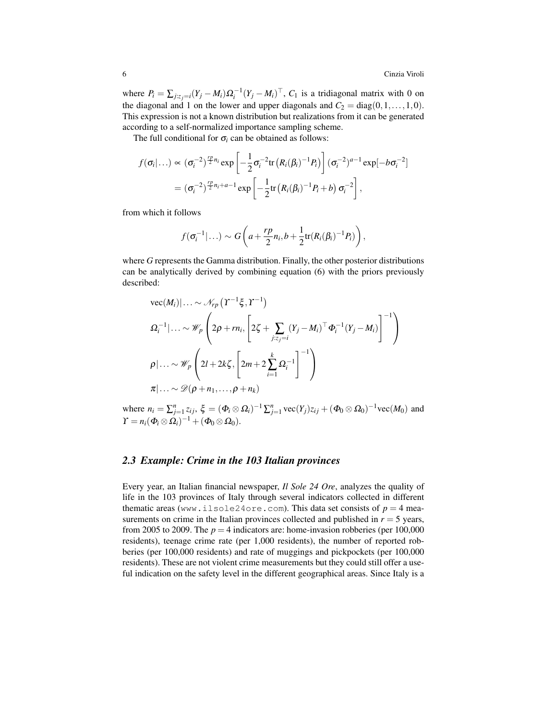where  $P_i = \sum_{j:z_j=i} (Y_j - M_i) \Omega_i^{-1} (Y_j - M_i)^{\top}$ ,  $C_1$  is a tridiagonal matrix with 0 on the diagonal and 1 on the lower and upper diagonals and  $C_2 = diag(0,1,\ldots,1,0)$ . This expression is not a known distribution but realizations from it can be generated according to a self-normalized importance sampling scheme.

The full conditional for  $\sigma_i$  can be obtained as follows:

$$
f(\sigma_i|\ldots) \propto (\sigma_i^{-2})^{\frac{rp}{2}n_i} \exp\left[-\frac{1}{2}\sigma_i^{-2}\text{tr}\left(R_i(\beta_i)^{-1}P_i\right)\right] (\sigma_i^{-2})^{a-1} \exp[-b\sigma_i^{-2}]
$$

$$
= (\sigma_i^{-2})^{\frac{rp}{2}n_i+a-1} \exp\left[-\frac{1}{2}\text{tr}\left(R_i(\beta_i)^{-1}P_i+b\right)\sigma_i^{-2}\right],
$$

from which it follows

$$
f(\sigma_i^{-1}|\ldots) \sim G\left(a+\frac{rp}{2}n_i,b+\frac{1}{2}\text{tr}(R_i(\beta_i)^{-1}P_i)\right),\,
$$

where *G* represents the Gamma distribution. Finally, the other posterior distributions can be analytically derived by combining equation (6) with the priors previously described:

vec(M<sub>i</sub>)|... 
$$
\sim \mathcal{N}_{rp} (T^{-1}\xi, T^{-1})
$$
  
\n
$$
\Omega_i^{-1}|\ldots \sim \mathcal{W}_p \left(2\rho + rn_i, \left[2\zeta + \sum_{j:z_j=i} (Y_j - M_i)^{\top} \Phi_i^{-1} (Y_j - M_i)\right]^{-1}\right)
$$
\n
$$
\rho|\ldots \sim \mathcal{W}_p \left(2l + 2k\zeta, \left[2m + 2\sum_{i=1}^k \Omega_i^{-1}\right]^{-1}\right)
$$
\n
$$
\pi|\ldots \sim \mathcal{D}(\rho + n_1, \ldots, \rho + n_k)
$$

where  $n_i = \sum_{j=1}^n z_{ij}$ ,  $\xi = (\Phi_i \otimes \Omega_i)^{-1} \sum_{j=1}^n \text{vec}(Y_j) z_{ij} + (\Phi_0 \otimes \Omega_0)^{-1} \text{vec}(M_0)$  and  $\varUpsilon = n_i(\Phi_i \otimes \Omega_i)^{-1} + (\Phi_0 \otimes \Omega_0).$ 

#### *2.3 Example: Crime in the 103 Italian provinces*

Every year, an Italian financial newspaper, *Il Sole 24 Ore*, analyzes the quality of life in the 103 provinces of Italy through several indicators collected in different thematic areas (www.ilsole24ore.com). This data set consists of  $p = 4$  measurements on crime in the Italian provinces collected and published in  $r = 5$  years, from 2005 to 2009. The  $p = 4$  indicators are: home-invasion robberies (per 100,000 residents), teenage crime rate (per 1,000 residents), the number of reported robberies (per 100,000 residents) and rate of muggings and pickpockets (per 100,000 residents). These are not violent crime measurements but they could still offer a useful indication on the safety level in the different geographical areas. Since Italy is a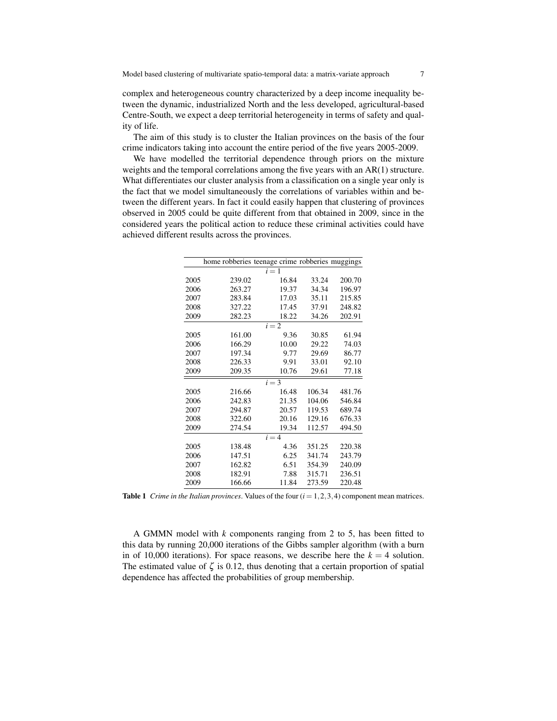complex and heterogeneous country characterized by a deep income inequality between the dynamic, industrialized North and the less developed, agricultural-based Centre-South, we expect a deep territorial heterogeneity in terms of safety and quality of life.

The aim of this study is to cluster the Italian provinces on the basis of the four crime indicators taking into account the entire period of the five years 2005-2009.

We have modelled the territorial dependence through priors on the mixture weights and the temporal correlations among the five years with an AR(1) structure. What differentiates our cluster analysis from a classification on a single year only is the fact that we model simultaneously the correlations of variables within and between the different years. In fact it could easily happen that clustering of provinces observed in 2005 could be quite different from that obtained in 2009, since in the considered years the political action to reduce these criminal activities could have achieved different results across the provinces.

|         | home robberies teenage crime robberies muggings |       |        |        |
|---------|-------------------------------------------------|-------|--------|--------|
| $i=1$   |                                                 |       |        |        |
| 2005    | 239.02                                          | 16.84 | 33.24  | 200.70 |
| 2006    | 263.27                                          | 19.37 | 34.34  | 196.97 |
| 2007    | 283.84                                          | 17.03 | 35.11  | 215.85 |
| 2008    | 327.22                                          | 17.45 | 37.91  | 248.82 |
| 2009    | 282.23                                          | 18.22 | 34.26  | 202.91 |
| $i = 2$ |                                                 |       |        |        |
| 2005    | 161.00                                          | 9.36  | 30.85  | 61.94  |
| 2006    | 166.29                                          | 10.00 | 29.22  | 74.03  |
| 2007    | 197.34                                          | 9.77  | 29.69  | 86.77  |
| 2008    | 226.33                                          | 9.91  | 33.01  | 92.10  |
| 2009    | 209.35                                          | 10.76 | 29.61  | 77.18  |
| $i = 3$ |                                                 |       |        |        |
| 2005    | 216.66                                          | 16.48 | 106.34 | 481.76 |
| 2006    | 242.83                                          | 21.35 | 104.06 | 546.84 |
| 2007    | 294.87                                          | 20.57 | 119.53 | 689.74 |
| 2008    | 322.60                                          | 20.16 | 129.16 | 676.33 |
| 2009    | 274.54                                          | 19.34 | 112.57 | 494.50 |
| $i = 4$ |                                                 |       |        |        |
| 2005    | 138.48                                          | 4.36  | 351.25 | 220.38 |
| 2006    | 147.51                                          | 6.25  | 341.74 | 243.79 |
| 2007    | 162.82                                          | 6.51  | 354.39 | 240.09 |
| 2008    | 182.91                                          | 7.88  | 315.71 | 236.51 |
| 2009    | 166.66                                          | 11.84 | 273.59 | 220.48 |

**Table 1** *Crime in the Italian provinces*. Values of the four  $(i = 1, 2, 3, 4)$  component mean matrices.

A GMMN model with *k* components ranging from 2 to 5, has been fitted to this data by running 20,000 iterations of the Gibbs sampler algorithm (with a burn in of 10,000 iterations). For space reasons, we describe here the  $k = 4$  solution. The estimated value of  $\zeta$  is 0.12, thus denoting that a certain proportion of spatial dependence has affected the probabilities of group membership.